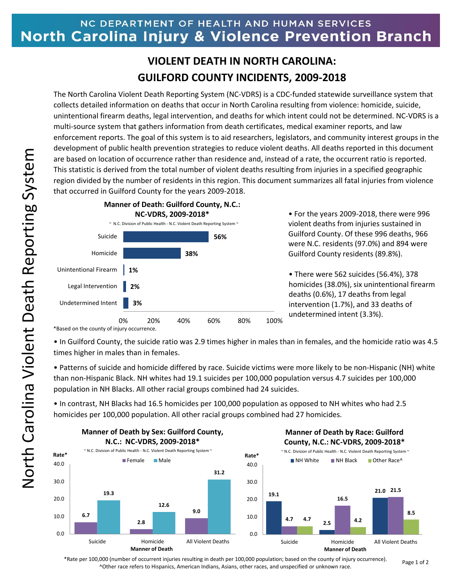## NC DEPARTMENT OF HEALTH AND HUMAN SERVICES North Carolina Injury & Violence Prevention Branch

## **VIOLENT DEATH IN NORTH CAROLINA: GUILFORD COUNTY INCIDENTS, 2009-2018**

The North Carolina Violent Death Reporting System (NC-VDRS) is a CDC-funded statewide surveillance system that collects detailed information on deaths that occur in North Carolina resulting from violence: homicide, suicide, unintentional firearm deaths, legal intervention, and deaths for which intent could not be determined. NC-VDRS is a multi-source system that gathers information from death certificates, medical examiner reports, and law enforcement reports. The goal of this system is to aid researchers, legislators, and community interest groups in the development of public health prevention strategies to reduce violent deaths. All deaths reported in this document are based on location of occurrence rather than residence and, instead of a rate, the occurrent ratio is reported. This statistic is derived from the total number of violent deaths resulting from injuries in a specified geographic region divided by the number of residents in this region. This document summarizes all fatal injuries from violence that occurred in Guilford County for the years 2009-2018.



• For the years 2009-2018, there were 996 violent deaths from injuries sustained in Guilford County. Of these 996 deaths, 966 were N.C. residents (97.0%) and 894 were Guilford County residents (89.8%).

• There were 562 suicides (56.4%), 378 homicides (38.0%), six unintentional firearm deaths (0.6%), 17 deaths from legal intervention (1.7%), and 33 deaths of undetermined intent (3.3%).

\*Based on the county of injury occurrence.

• In Guilford County, the suicide ratio was 2.9 times higher in males than in females, and the homicide ratio was 4.5 times higher in males than in females.

• Patterns of suicide and homicide differed by race. Suicide victims were more likely to be non-Hispanic (NH) white than non-Hispanic Black. NH whites had 19.1 suicides per 100,000 population versus 4.7 suicides per 100,000 population in NH Blacks. All other racial groups combined had 24 suicides.

• In contrast, NH Blacks had 16.5 homicides per 100,000 population as opposed to NH whites who had 2.5 homicides per 100,000 population. All other racial groups combined had 27 homicides.



\*Rate per 100,000 (number of occurrent injuries resulting in death per 100,000 population; based on the county of injury occurrence). ^Other race refers to Hispanics, American Indians, Asians, other races, and unspecified or unknown race.